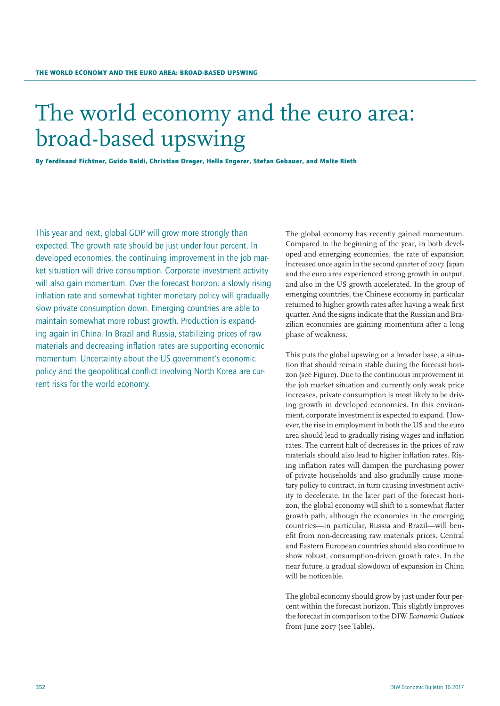# The world economy and the euro area: broad-based upswing

By Ferdinand Fichtner, Guido Baldi, Christian Dreger, Hella Engerer, Stefan Gebauer, and Malte Rieth

This year and next, global GDP will grow more strongly than expected. The growth rate should be just under four percent. In developed economies, the continuing improvement in the job market situation will drive consumption. Corporate investment activity will also gain momentum. Over the forecast horizon, a slowly rising inflation rate and somewhat tighter monetary policy will gradually slow private consumption down. Emerging countries are able to maintain somewhat more robust growth. Production is expanding again in China. In Brazil and Russia, stabilizing prices of raw materials and decreasing inflation rates are supporting economic momentum. Uncertainty about the US government's economic policy and the geopolitical conflict involving North Korea are current risks for the world economy.

The global economy has recently gained momentum. Compared to the beginning of the year, in both developed and emerging economies, the rate of expansion increased once again in the second quarter of 2017. Japan and the euro area experienced strong growth in output, and also in the US growth accelerated. In the group of emerging countries, the Chinese economy in particular returned to higher growth rates after having a weak first quarter. And the signs indicate that the Russian and Brazilian economies are gaining momentum after a long phase of weakness.

This puts the global upswing on a broader base, a situation that should remain stable during the forecast horizon (see Figure). Due to the continuous improvement in the job market situation and currently only weak price increases, private consumption is most likely to be driving growth in developed economies. In this environment, corporate investment is expected to expand. However, the rise in employment in both the US and the euro area should lead to gradually rising wages and inflation rates. The current halt of decreases in the prices of raw materials should also lead to higher inflation rates. Rising inflation rates will dampen the purchasing power of private households and also gradually cause monetary policy to contract, in turn causing investment activity to decelerate. In the later part of the forecast horizon, the global economy will shift to a somewhat flatter growth path, although the economies in the emerging countries—in particular, Russia and Brazil—will benefit from non-decreasing raw materials prices. Central and Eastern European countries should also continue to show robust, consumption-driven growth rates. In the near future, a gradual slowdown of expansion in China will be noticeable.

The global economy should grow by just under four percent within the forecast horizon. This slightly improves the forecast in comparison to the DIW *Economic Outlook* from June 2017 (see Table).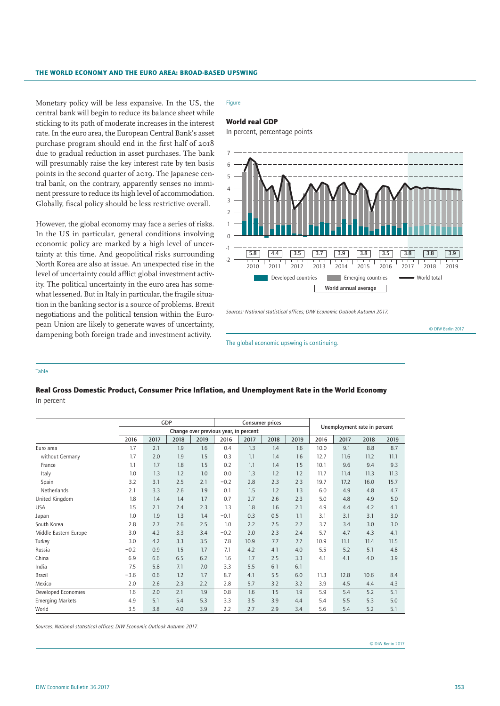Monetary policy will be less expansive. In the US, the central bank will begin to reduce its balance sheet while sticking to its path of moderate increases in the interest rate. In the euro area, the European Central Bank's asset purchase program should end in the first half of 2018 due to gradual reduction in asset purchases. The bank will presumably raise the key interest rate by ten basis points in the second quarter of 2019. The Japanese central bank, on the contrary, apparently senses no imminent pressure to reduce its high level of accommodation. Globally, fiscal policy should be less restrictive overall.

However, the global economy may face a series of risks. In the US in particular, general conditions involving economic policy are marked by a high level of uncertainty at this time. And geopolitical risks surrounding North Korea are also at issue. An unexpected rise in the level of uncertainty could afflict global investment activity. The political uncertainty in the euro area has somewhat lessened. But in Italy in particular, the fragile situation in the banking sector is a source of problems. Brexit negotiations and the political tension within the European Union are likely to generate waves of uncertainty, dampening both foreign trade and investment activity.

# Figure

# World real GDP

In percent, percentage points



*Sources: National statistical offices; DIW Economic Outlook Autumn 2017.*

© DIW Berlin 2017

The global economic upswing is continuing.

## Table

# Real Gross Domestic Product, Consumer Price Inflation, and Unemployment Rate in the World Economy In percent

|                         | GDP                                   |      |      |      | <b>Consumer prices</b> |      |      |      |                              |      |      |      |
|-------------------------|---------------------------------------|------|------|------|------------------------|------|------|------|------------------------------|------|------|------|
|                         | Change over previous year, in percent |      |      |      |                        |      |      |      | Unemployment rate in percent |      |      |      |
|                         | 2016                                  | 2017 | 2018 | 2019 | 2016                   | 2017 | 2018 | 2019 | 2016                         | 2017 | 2018 | 2019 |
| Euro area               | 1.7                                   | 2.1  | 1.9  | 1.6  | 0.4                    | 1.3  | 1.4  | 1.6  | 10.0                         | 9.1  | 8.8  | 8.7  |
| without Germany         | 1.7                                   | 2.0  | 1.9  | 1.5  | 0.3                    | 1.1  | 1.4  | 1.6  | 12.7                         | 11.6 | 11.2 | 11.1 |
| France                  | 1.1                                   | 1.7  | 1.8  | 1.5  | 0.2                    | 1.1  | 1.4  | 1.5  | 10.1                         | 9.6  | 9.4  | 9.3  |
| Italy                   | 1.0                                   | 1.3  | 1.2  | 1.0  | 0.0                    | 1.3  | 1.2  | 1.2  | 11.7                         | 11.4 | 11.3 | 11.3 |
| Spain                   | 3.2                                   | 3.1  | 2.5  | 2.1  | $-0.2$                 | 2.8  | 2.3  | 2.3  | 19.7                         | 17.2 | 16.0 | 15.7 |
| Netherlands             | 2.1                                   | 3.3  | 2.6  | 1.9  | 0.1                    | 1.5  | 1.2  | 1.3  | 6.0                          | 4.9  | 4.8  | 4.7  |
| United Kingdom          | 1.8                                   | 1.4  | 1.4  | 1.7  | 0.7                    | 2.7  | 2.6  | 2.3  | 5.0                          | 4.8  | 4.9  | 5.0  |
| <b>USA</b>              | 1.5                                   | 2.1  | 2.4  | 2.3  | 1.3                    | 1.8  | 1.6  | 2.1  | 4.9                          | 4.4  | 4.2  | 4.1  |
| Japan                   | 1.0                                   | 1.9  | 1.3  | 1.4  | $-0.1$                 | 0.3  | 0.5  | 1.1  | 3.1                          | 3.1  | 3.1  | 3.0  |
| South Korea             | 2.8                                   | 2.7  | 2.6  | 2.5  | 1.0                    | 2.2  | 2.5  | 2.7  | 3.7                          | 3.4  | 3.0  | 3.0  |
| Middle Eastern Europe   | 3.0                                   | 4.2  | 3.3  | 3.4  | $-0.2$                 | 2.0  | 2.3  | 2.4  | 5.7                          | 4.7  | 4.3  | 4.1  |
| Turkey                  | 3.0                                   | 4.2  | 3.3  | 3.5  | 7.8                    | 10.9 | 7.7  | 7.7  | 10.9                         | 11.1 | 11.4 | 11.5 |
| Russia                  | $-0.2$                                | 0.9  | 1.5  | 1.7  | 7.1                    | 4.2  | 4.1  | 4.0  | 5.5                          | 5.2  | 5.1  | 4.8  |
| China                   | 6.9                                   | 6.6  | 6.5  | 6.2  | 1.6                    | 1.7  | 2.5  | 3.3  | 4.1                          | 4.1  | 4.0  | 3.9  |
| India                   | 7.5                                   | 5.8  | 7.1  | 7.0  | 3.3                    | 5.5  | 6.1  | 6.1  |                              |      |      |      |
| <b>Brazil</b>           | $-3.6$                                | 0.6  | 1.2  | 1.7  | 8.7                    | 4.1  | 5.5  | 6.0  | 11.3                         | 12.8 | 10.6 | 8.4  |
| Mexico                  | 2.0                                   | 2.6  | 2.3  | 2.2  | 2.8                    | 5.7  | 3.2  | 3.2  | 3.9                          | 4.5  | 4.4  | 4.3  |
| Developed Economies     | 1.6                                   | 2.0  | 2.1  | 1.9  | 0.8                    | 1.6  | 1.5  | 1.9  | 5.9                          | 5.4  | 5.2  | 5.1  |
| <b>Emerging Markets</b> | 4.9                                   | 5.1  | 5.4  | 5.3  | 3.3                    | 3.5  | 3.9  | 4.4  | 5.4                          | 5.5  | 5.3  | 5.0  |
| World                   | 3.5                                   | 3.8  | 4.0  | 3.9  | 2.2                    | 2.7  | 2.9  | 3.4  | 5.6                          | 5.4  | 5.2  | 5.1  |

*Sources: National statistical offices; DIW Economic Outlook Autumn 2017.*

© DIW Berlin 2017